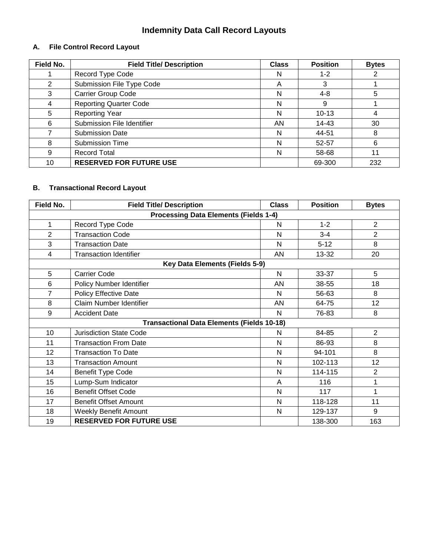# **Indemnity Data Call Record Layouts**

#### **A. File Control Record Layout**

| Field No. | <b>Field Title/ Description</b> | <b>Class</b> | <b>Position</b> | <b>Bytes</b> |
|-----------|---------------------------------|--------------|-----------------|--------------|
|           | Record Type Code                | N            | $1 - 2$         |              |
| 2         | Submission File Type Code       | Α            | 3               |              |
| 3         | Carrier Group Code              | N            | $4 - 8$         | 5            |
|           | <b>Reporting Quarter Code</b>   | N            | 9               |              |
| 5         | <b>Reporting Year</b>           | N            | $10 - 13$       | 4            |
| 6         | Submission File Identifier      | AN           | 14-43           | 30           |
|           | <b>Submission Date</b>          | N            | 44-51           | 8            |
| 8         | <b>Submission Time</b>          | N            | 52-57           | 6            |
| 9         | <b>Record Total</b>             | N            | 58-68           | 11           |
| 10        | <b>RESERVED FOR FUTURE USE</b>  |              | 69-300          | 232          |

## **B. Transactional Record Layout**

| Field No.                                         | <b>Field Title/ Description</b>       | <b>Class</b> | <b>Position</b> | <b>Bytes</b>   |
|---------------------------------------------------|---------------------------------------|--------------|-----------------|----------------|
| <b>Processing Data Elements (Fields 1-4)</b>      |                                       |              |                 |                |
| 1                                                 | Record Type Code                      | N            | $1 - 2$         | $\overline{2}$ |
| $\overline{2}$                                    | <b>Transaction Code</b>               | N            | $3 - 4$         | $\overline{2}$ |
| 3                                                 | <b>Transaction Date</b>               | N            | $5 - 12$        | 8              |
| 4                                                 | <b>Transaction Identifier</b>         | AN           | 13-32           | 20             |
|                                                   | <b>Key Data Elements (Fields 5-9)</b> |              |                 |                |
| 5                                                 | <b>Carrier Code</b>                   | N            | 33-37           | 5              |
| 6                                                 | Policy Number Identifier              | AN           | 38-55           | 18             |
| 7                                                 | Policy Effective Date                 | N            | 56-63           | 8              |
| 8                                                 | Claim Number Identifier               | AN           | 64-75           | 12             |
| 9                                                 | <b>Accident Date</b>                  | N            | 76-83           | 8              |
| <b>Transactional Data Elements (Fields 10-18)</b> |                                       |              |                 |                |
| 10                                                | <b>Jurisdiction State Code</b>        | N            | 84-85           | $\overline{2}$ |
| 11                                                | <b>Transaction From Date</b>          | N            | 86-93           | 8              |
| 12                                                | <b>Transaction To Date</b>            | N            | 94-101          | 8              |
| 13                                                | <b>Transaction Amount</b>             | N            | 102-113         | 12             |
| 14                                                | <b>Benefit Type Code</b>              | N            | 114-115         | $\overline{2}$ |
| 15                                                | Lump-Sum Indicator                    | A            | 116             | 1              |
| 16                                                | <b>Benefit Offset Code</b>            | N            | 117             | 1              |
| 17                                                | <b>Benefit Offset Amount</b>          | N            | 118-128         | 11             |
| 18                                                | <b>Weekly Benefit Amount</b>          | N            | 129-137         | 9              |
| 19                                                | <b>RESERVED FOR FUTURE USE</b>        |              | 138-300         | 163            |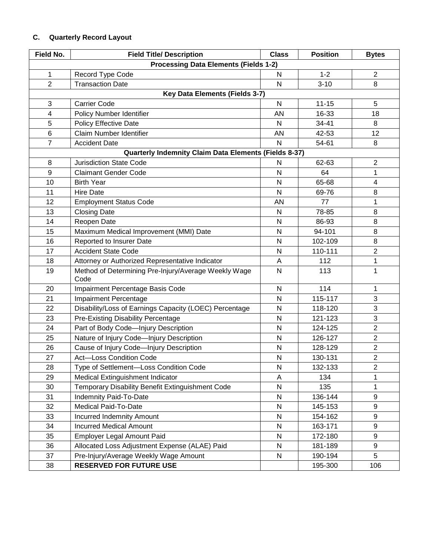## **C. Quarterly Record Layout**

| <b>Field No.</b>                             | <b>Field Title/ Description</b>                              | <b>Class</b> | <b>Position</b> | <b>Bytes</b>   |
|----------------------------------------------|--------------------------------------------------------------|--------------|-----------------|----------------|
| <b>Processing Data Elements (Fields 1-2)</b> |                                                              |              |                 |                |
| 1                                            | Record Type Code                                             | $\mathsf{N}$ | $1 - 2$         | $\overline{2}$ |
| $\overline{2}$                               | <b>Transaction Date</b>                                      | N            | $3 - 10$        | 8              |
|                                              | Key Data Elements (Fields 3-7)                               |              |                 |                |
| 3                                            | <b>Carrier Code</b>                                          | $\mathsf{N}$ | $11 - 15$       | 5              |
| 4                                            | Policy Number Identifier                                     | AN           | 16-33           | 18             |
| 5                                            | <b>Policy Effective Date</b>                                 | N            | 34-41           | 8              |
| $6\phantom{1}6$                              | Claim Number Identifier                                      | <b>AN</b>    | 42-53           | 12             |
| $\overline{7}$                               | <b>Accident Date</b>                                         | N            | 54-61           | 8              |
|                                              | <b>Quarterly Indemnity Claim Data Elements (Fields 8-37)</b> |              |                 |                |
| 8                                            | <b>Jurisdiction State Code</b>                               | N            | 62-63           | $\overline{2}$ |
| 9                                            | <b>Claimant Gender Code</b>                                  | $\mathsf{N}$ | 64              | 1              |
| 10                                           | <b>Birth Year</b>                                            | N            | 65-68           | 4              |
| 11                                           | <b>Hire Date</b>                                             | N            | 69-76           | 8              |
| 12                                           | <b>Employment Status Code</b>                                | AN           | 77              | 1              |
| 13                                           | <b>Closing Date</b>                                          | N            | 78-85           | 8              |
| 14                                           | Reopen Date                                                  | N            | 86-93           | 8              |
| 15                                           | Maximum Medical Improvement (MMI) Date                       | $\mathsf{N}$ | 94-101          | 8              |
| 16                                           | Reported to Insurer Date                                     | N            | 102-109         | 8              |
| 17                                           | <b>Accident State Code</b>                                   | $\mathsf{N}$ | 110-111         | $\overline{2}$ |
| 18                                           | Attorney or Authorized Representative Indicator              | A            | 112             | $\mathbf{1}$   |
| 19                                           | Method of Determining Pre-Injury/Average Weekly Wage<br>Code | N            | 113             | 1              |
| 20                                           | Impairment Percentage Basis Code                             | N            | 114             | 1              |
| 21                                           | Impairment Percentage                                        | $\mathsf{N}$ | 115-117         | 3              |
| 22                                           | Disability/Loss of Earnings Capacity (LOEC) Percentage       | $\mathsf{N}$ | 118-120         | 3              |
| 23                                           | <b>Pre-Existing Disability Percentage</b>                    | N            | 121-123         | 3              |
| 24                                           | Part of Body Code-Injury Description                         | $\mathsf{N}$ | 124-125         | $\overline{2}$ |
| 25                                           | Nature of Injury Code-Injury Description                     | N            | 126-127         | $\overline{2}$ |
| 26                                           | Cause of Injury Code-Injury Description                      | N            | 128-129         | $\overline{c}$ |
| 27                                           | Act-Loss Condition Code                                      | $\mathsf{N}$ | 130-131         | $\overline{2}$ |
| 28                                           | Type of Settlement-Loss Condition Code                       | N            | 132-133         | $\overline{2}$ |
| 29                                           | Medical Extinguishment Indicator                             | A            | 134             | 1              |
| 30                                           | Temporary Disability Benefit Extinguishment Code             | ${\sf N}$    | 135             | 1              |
| 31                                           | <b>Indemnity Paid-To-Date</b>                                | $\mathsf{N}$ | 136-144         | 9              |
| 32                                           | Medical Paid-To-Date                                         | N            | 145-153         | 9              |
| 33                                           | <b>Incurred Indemnity Amount</b>                             | ${\sf N}$    | 154-162         | 9              |
| 34                                           | <b>Incurred Medical Amount</b>                               | ${\sf N}$    | 163-171         | 9              |
| 35                                           | Employer Legal Amount Paid                                   | N            | 172-180         | 9              |
| 36                                           | Allocated Loss Adjustment Expense (ALAE) Paid                | ${\sf N}$    | 181-189         | 9              |
| 37                                           | Pre-Injury/Average Weekly Wage Amount                        | ${\sf N}$    | 190-194         | 5              |
| 38                                           | <b>RESERVED FOR FUTURE USE</b>                               |              | 195-300         | 106            |